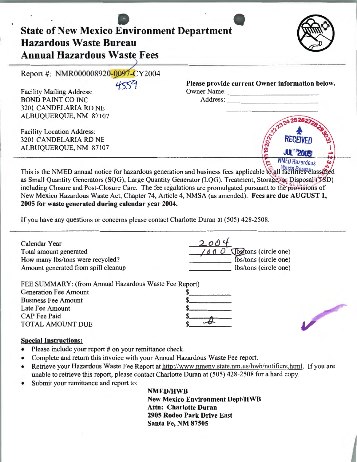| <b>State of New Mexico Environment Department</b><br><b>Hazardous Waste Bureau</b><br><b>Annual Hazardous Waste Fees</b> |                                                 |
|--------------------------------------------------------------------------------------------------------------------------|-------------------------------------------------|
| Report #: NMR000008920-0097-CY2004                                                                                       |                                                 |
|                                                                                                                          | Please provide current Owner information below. |
| <b>Facility Mailing Address:</b>                                                                                         | <b>Owner Name:</b>                              |
| <b>BOND PAINT CO INC</b>                                                                                                 | Address:                                        |
| 3201 CANDELARIA RD NE                                                                                                    |                                                 |
| ALBUQUERQUE, NM 87107                                                                                                    |                                                 |
| <b>Facility Location Address:</b>                                                                                        |                                                 |
| 3201 CANDELARIA RD NE                                                                                                    | 20223<br><b>RECEIVED</b>                        |
| ALBUQUERQUE, NM 87107                                                                                                    | <b>JUL 2005</b>                                 |
|                                                                                                                          | MED Hazardous                                   |

This is the NMED annual notice for hazardous generation and business fees applicable to all facilities classified as Small Quantity Generators (SQG), Large Quantity Generator (LQG), Treatment, Storage, or Disposal (TSD) including Closure and Post-Closure Care. The fee regulations are promulgated pursuant to the provisions of New Mexico Hazardous Waste Act, Chapter 74, Article 4, NMSA (as amended). Fees are due AUGUST 1, 2005 for waste generated during calendar year 2004.

If you have any questions or concerns please contact Charlotte Duran at (505) 428-2508.

| Calendar Year<br>Total amount generated               | (lbs/tons (circle one) |  |
|-------------------------------------------------------|------------------------|--|
| How many lbs/tons were recycled?                      | Ibs/tons (circle one)  |  |
| Amount generated from spill cleanup                   | lbs/tons (circle one)  |  |
| FEE SUMMARY: (from Annual Hazardous Waste Fee Report) |                        |  |
| <b>Generation Fee Amount</b>                          |                        |  |
| <b>Business Fee Amount</b>                            |                        |  |
| Late Fee Amount                                       |                        |  |
| <b>CAP</b> Fee Paid                                   |                        |  |
| <b>TOTAL AMOUNT DUE</b>                               |                        |  |
| <b>Special Instructions:</b>                          |                        |  |

- Please include your report # on your remittance check.
- Complete and return this invoice with your Annual Hazardous Waste Fee report.
- Retrieve your Hazardous Waste Fee Report at http://www.nmenv.state.nm.us/hwb/notifiers.html. If you are unable to retrieve this report, please contact Charlotte Duran at (505) 428-2508 for a hard copy.
- Submit your remittance and report to:

NMED/HWB

New Mexico Environment Dept/HWB Attn: Charlotte Duran 2905 Rodeo Park Drive East Santa Fe, NM 87505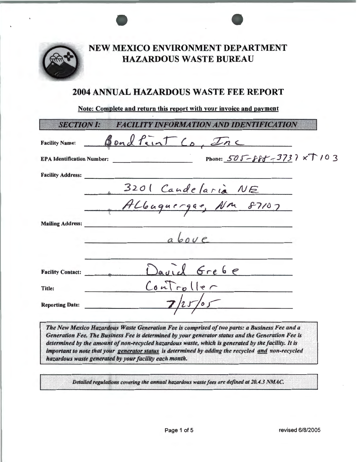

# NEW MEXICO ENVIRONMENT DEPARTMENT HAZARDOUS WASTE BUREAU

## 2004 ANNUAL HAZARDOUS WASTE FEE REPORT

### Note: Complete and return this report with your invoice and payment

| <b>SECTION I:</b>                 | B'ANDORMATIONAND IDENTIFICATION                                  |  |
|-----------------------------------|------------------------------------------------------------------|--|
| <b>Facility Name:</b>             | Bondfint Co, Inc                                                 |  |
| <b>EPA Identification Number:</b> | Phone: 505-888-3737 xT103<br><u> 1999 - Alexandr Alexandr II</u> |  |
| <b>Facility Address:</b>          |                                                                  |  |
|                                   |                                                                  |  |
|                                   | B201 Candelaria NE<br>ALbuguergae, Nm 87107                      |  |
| <b>Mailing Address:</b>           |                                                                  |  |
|                                   | abcve                                                            |  |
|                                   |                                                                  |  |
| <b>Facility Contact:</b>          | David Grebe                                                      |  |
| Title:                            | ConTroller                                                       |  |
| <b>Reporting Date:</b>            |                                                                  |  |
|                                   |                                                                  |  |

The New Mexico Hazardous Waste Generation Fee is comprised of two parts: a Business Fee and a<br>Generation Fee. The Business Fee is determined by your generator status and the Generation Fee is<br>determined by the amount of no important to note that your generator status is determined by adding the recycled and non-recycled hazardous waste generated by your facility each month.

Detailed regulations covering the annual hazardous waste fees are defined at 20.4.3 NMAC.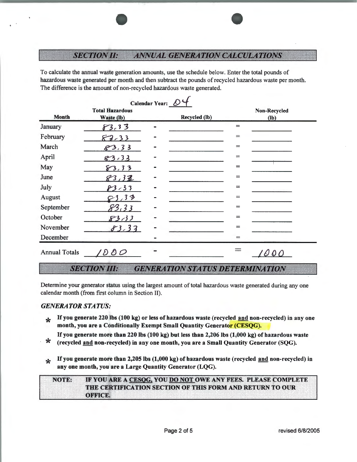#### **SECTION II: ANNUAL GENERATION CALCULATIONS**

To calculate the annual waste generation amounts, use the schedule below. Enter the total pounds of hazardous waste generated per month and then subtract the pounds of recycled hazardous waste per month. The difference is the amount of non-recycled hazardous waste generated.

| Calendar Year: $\mathcal{D}^4$ |                                      |  |               |          |                               |  |  |  |
|--------------------------------|--------------------------------------|--|---------------|----------|-------------------------------|--|--|--|
| Month                          | <b>Total Hazardous</b><br>Waste (lb) |  | Recycled (lb) |          | <b>Non-Recycled</b><br>$(lb)$ |  |  |  |
| January                        | 83.33                                |  |               | $=$      |                               |  |  |  |
| February                       | $82-33$                              |  |               | $=$      |                               |  |  |  |
| March                          | 83.33                                |  |               | $=$      |                               |  |  |  |
| April                          | 83.33                                |  |               | $=$      |                               |  |  |  |
| May                            | 83,33                                |  |               | $=$      |                               |  |  |  |
| June                           | 83,38                                |  |               | $=$      |                               |  |  |  |
| July                           | $83 - 33$                            |  |               | $=$      |                               |  |  |  |
| August                         | 3,33                                 |  |               | $\equiv$ |                               |  |  |  |
| September                      | 83.33                                |  |               | $=$      |                               |  |  |  |
| October                        | 83,33                                |  |               | $=$      |                               |  |  |  |
| November                       | 83.33                                |  |               | $=$      |                               |  |  |  |
| December                       |                                      |  |               | $=$      |                               |  |  |  |
| <b>Annual Totals</b>           | $\partial\,\partial\mathcal{O}$      |  |               |          | $\partial$ 0                  |  |  |  |

#### **SECTION III: GENERATION STATUS DETERMINATION**

Determine your generator status using the largest amount of total hazardous waste generated during any one calendar month (from first column in Section II).

### *GENERATOR STATUS:*

- $*$  If you generate 220 lbs (100 kg) or less of hazardous waste (recycled and non-recycled) in any one month, you are a Conditionally Exempt Small Quantity Generator (CESQG).
- If you generate more than 220 lbs (100 kg) but less than 2,206 lbs (1,000 kg) of hazardous waste<br>  $\star$  (recycled <u>and</u> non-recycled) in any one month, you are a Small Quantity Generator (SQG).
- 
- **\*** If you generate more than 2,205 lbs (1,000 kg) of hazardous waste (recycled and non-recycled) in any one month, you are a Large Quantity Generator (LQG).

|  |  |  |  |              |  |  |  |  |  | NOTE: IF YOU ARE A CESOG, YOU DO NOT OWE ANY FEES. PLEASE COMPLETE     |  |  |  |  |  |  |
|--|--|--|--|--------------|--|--|--|--|--|------------------------------------------------------------------------|--|--|--|--|--|--|
|  |  |  |  |              |  |  |  |  |  |                                                                        |  |  |  |  |  |  |
|  |  |  |  |              |  |  |  |  |  |                                                                        |  |  |  |  |  |  |
|  |  |  |  |              |  |  |  |  |  |                                                                        |  |  |  |  |  |  |
|  |  |  |  |              |  |  |  |  |  |                                                                        |  |  |  |  |  |  |
|  |  |  |  |              |  |  |  |  |  |                                                                        |  |  |  |  |  |  |
|  |  |  |  |              |  |  |  |  |  |                                                                        |  |  |  |  |  |  |
|  |  |  |  |              |  |  |  |  |  |                                                                        |  |  |  |  |  |  |
|  |  |  |  |              |  |  |  |  |  |                                                                        |  |  |  |  |  |  |
|  |  |  |  |              |  |  |  |  |  |                                                                        |  |  |  |  |  |  |
|  |  |  |  |              |  |  |  |  |  |                                                                        |  |  |  |  |  |  |
|  |  |  |  |              |  |  |  |  |  |                                                                        |  |  |  |  |  |  |
|  |  |  |  |              |  |  |  |  |  |                                                                        |  |  |  |  |  |  |
|  |  |  |  |              |  |  |  |  |  |                                                                        |  |  |  |  |  |  |
|  |  |  |  |              |  |  |  |  |  |                                                                        |  |  |  |  |  |  |
|  |  |  |  |              |  |  |  |  |  |                                                                        |  |  |  |  |  |  |
|  |  |  |  |              |  |  |  |  |  |                                                                        |  |  |  |  |  |  |
|  |  |  |  |              |  |  |  |  |  | E E 1980 SE E E LEGAN LONSTA E LON COME E LEGAN LANDRI SE E RNE COO UR |  |  |  |  |  |  |
|  |  |  |  |              |  |  |  |  |  |                                                                        |  |  |  |  |  |  |
|  |  |  |  |              |  |  |  |  |  |                                                                        |  |  |  |  |  |  |
|  |  |  |  |              |  |  |  |  |  |                                                                        |  |  |  |  |  |  |
|  |  |  |  |              |  |  |  |  |  |                                                                        |  |  |  |  |  |  |
|  |  |  |  |              |  |  |  |  |  |                                                                        |  |  |  |  |  |  |
|  |  |  |  |              |  |  |  |  |  |                                                                        |  |  |  |  |  |  |
|  |  |  |  |              |  |  |  |  |  |                                                                        |  |  |  |  |  |  |
|  |  |  |  |              |  |  |  |  |  |                                                                        |  |  |  |  |  |  |
|  |  |  |  |              |  |  |  |  |  |                                                                        |  |  |  |  |  |  |
|  |  |  |  |              |  |  |  |  |  |                                                                        |  |  |  |  |  |  |
|  |  |  |  |              |  |  |  |  |  |                                                                        |  |  |  |  |  |  |
|  |  |  |  |              |  |  |  |  |  |                                                                        |  |  |  |  |  |  |
|  |  |  |  |              |  |  |  |  |  |                                                                        |  |  |  |  |  |  |
|  |  |  |  |              |  |  |  |  |  |                                                                        |  |  |  |  |  |  |
|  |  |  |  |              |  |  |  |  |  |                                                                        |  |  |  |  |  |  |
|  |  |  |  |              |  |  |  |  |  |                                                                        |  |  |  |  |  |  |
|  |  |  |  |              |  |  |  |  |  |                                                                        |  |  |  |  |  |  |
|  |  |  |  |              |  |  |  |  |  |                                                                        |  |  |  |  |  |  |
|  |  |  |  |              |  |  |  |  |  |                                                                        |  |  |  |  |  |  |
|  |  |  |  | <b>ORAGE</b> |  |  |  |  |  |                                                                        |  |  |  |  |  |  |
|  |  |  |  |              |  |  |  |  |  |                                                                        |  |  |  |  |  |  |
|  |  |  |  |              |  |  |  |  |  |                                                                        |  |  |  |  |  |  |
|  |  |  |  |              |  |  |  |  |  |                                                                        |  |  |  |  |  |  |
|  |  |  |  |              |  |  |  |  |  |                                                                        |  |  |  |  |  |  |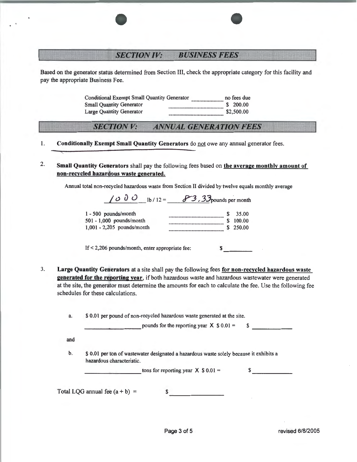#### **SECTION IV: BUSINESS FEES**

Based on the generator status determined from Section III, check the appropriate category for this facility and pay the appropriate Business Fee.

> Conditional Exempt Small Quantity Generator no fees due  $$ 200.00$ **Small Ouantity Generator Large Quantity Generator** \$2,500.00

#### **ANNUAL GENERATION FEES SECTION V:**

Conditionally Exempt Small Quantity Generators do not owe any annual generator fees. 1.

2. Small Quantity Generators shall pay the following fees based on the average monthly amount of non-recycled hazardous waste generated.

Annual total non-recycled hazardous waste from Section II divided by twelve equals monthly average  $(1, 0, 0, \ldots, 0)$   $(2, 2, 2, \ldots, 0)$ 

| 1000<br>$1b / 12 =$          | $\sigma$ $\sigma$ , $\sigma$ pounds per month |
|------------------------------|-----------------------------------------------|
| 1 - 500 pounds/month         | 35.00                                         |
| 501 - 1,000 pounds/month     | 100.00                                        |
| $1.001 - 2.205$ pounds/month | 250.00                                        |

If  $<$  2,206 pounds/month, enter appropriate fee:  $\mathbf{s}$ 

 $3.$ Large Quantity Generators at a site shall pay the following fees for non-recycled hazardous waste generated for the reporting year, if both hazardous waste and hazardous wastewater were generated at the site, the generator must determine the amounts for each to calculate the fee. Use the following fee schedules for these calculations.

> \$ 0.01 per pound of non-recycled hazardous waste generated at the site. a.

> > pounds for the reporting year  $X$  \$ 0.01 =  $\sim$

and

b. \$ 0.01 per ton of wastewater designated a hazardous waste solely because it exhibits a hazardous characteristic.

> tons for reporting year  $X$  \$ 0.01 =  $\sim$

Total LQG annual fee  $(a + b)$  =

\$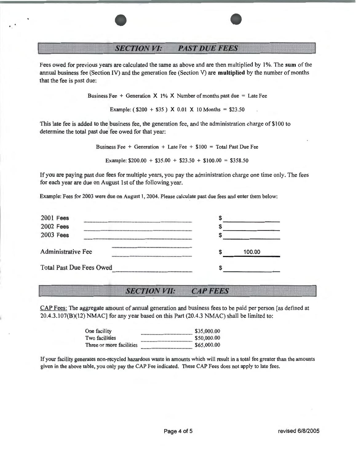### **SECTION VI: PAST DUE FEES**

Fees owed for previous years are calculated the same as above and are then multiplied by 1%. The sum of the annual business fee (Section IV) and the generation fee (Section V) are multiplied by the number of months that the fee is past due:

Business Fee + Generation  $X$  1%  $X$  Number of months past due = Late Fee

Example:  $(\$200 + \$35) \times 0.01 \times 10$  Months = \$23.50

This late fee is added to the business fee, the generation fee, and the administration charge of \$100 to determine the total past due fee owed for that year:

Business Fee + Generation + Late Fee +  $$100 = Total$  Past Due Fee

Example:  $$200.00 + $35.00 + $23.50 + $100.00 = $358.50$ 

If you are paying past due fees for multiple years, you pay the administration charge one time only. The fees for each year are due on August 1st of the following year.

Example: Fees for 2003 were due on August 1, 2004. Please calculate past due fees and enter them below:

| $2001$ Fees                     |        |  |
|---------------------------------|--------|--|
| <b>2002 Fees</b>                |        |  |
| <b>2003 Fees</b>                |        |  |
| <b>Administrative Fee</b>       | 100.00 |  |
| <b>Total Past Due Fees Owed</b> |        |  |

#### *SECTION VII:*  **CAP FEES**

CAP Fees: The aggregate amount of annual generation and business fees to be paid per person [as defined at 20.4.3.107(B)(12) NMAC] for any year based on this Part (20.4.3 NMAC) shall be limited to:

| \$35,000.00 |
|-------------|
| \$50,000.00 |
| \$65,000.00 |
|             |

If your facility generates non-recycled hazardous waste in amounts which will result in a total fee greater than the amounts given in the above table, you only pay the CAP Fee indicated. These CAP Fees does not apply to late fees.